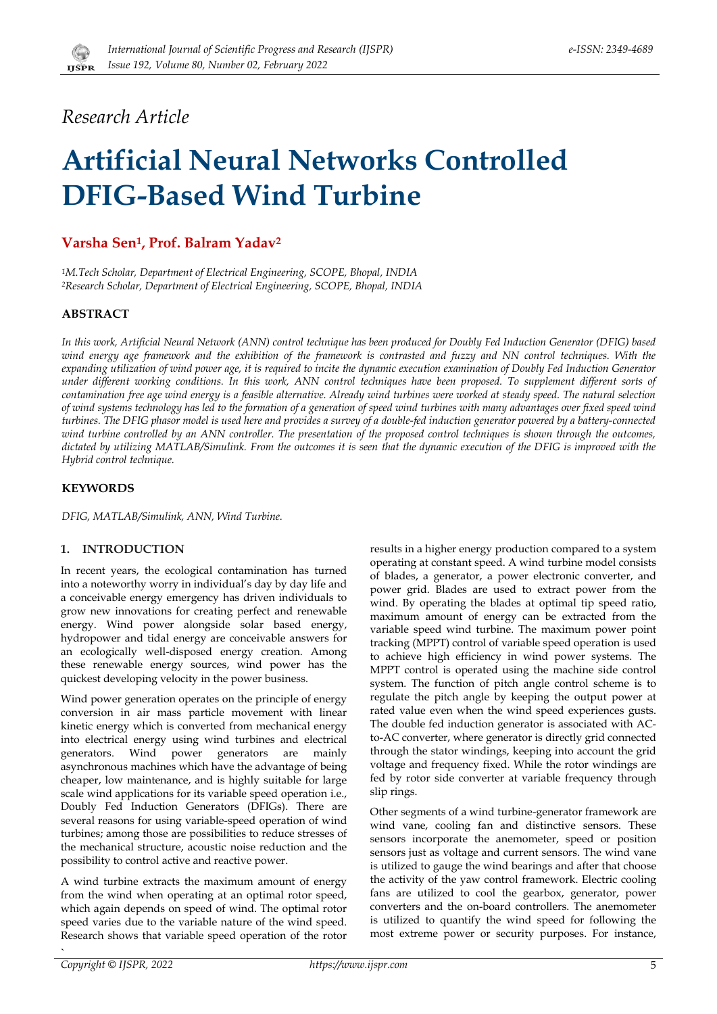

## Research Article

# **Artificial Neural Networks Controlled DFIG-Based Wind Turbine**

### Varsha Sen<sup>1</sup>, Prof. Balram Yadav<sup>2</sup>

<sup>1</sup>M.Tech Scholar, Department of Electrical Engineering, SCOPE, Bhopal, INDIA <sup>2</sup>Research Scholar, Department of Electrical Engineering, SCOPE, Bhopal, INDIA

#### **ABSTRACT**

In this work, Artificial Neural Network (ANN) control technique has been produced for Doubly Fed Induction Generator (DFIG) based wind energy age framework and the exhibition of the framework is contrasted and fuzzy and NN control techniques. With the expanding utilization of wind power age, it is required to incite the dynamic execution examination of Doubly Fed Induction Generator under different working conditions. In this work, ANN control techniques have been proposed. To supplement different sorts of contamination free age wind energy is a feasible alternative. Already wind turbines were worked at steady speed. The natural selection of wind systems technology has led to the formation of a generation of speed wind turbines with many advantages over fixed speed wind turbines. The DFIG phasor model is used here and provides a survey of a double-fed induction generator powered by a battery-connected wind turbine controlled by an ANN controller. The presentation of the proposed control techniques is shown through the outcomes, dictated by utilizing MATLAB/Simulink. From the outcomes it is seen that the dynamic execution of the DFIG is improved with the Hybrid control technique.

#### **KEYWORDS**

DFIG, MATLAB/Simulink, ANN, Wind Turbine.

#### 1. INTRODUCTION

In recent years, the ecological contamination has turned into a noteworthy worry in individual's day by day life and a conceivable energy emergency has driven individuals to grow new innovations for creating perfect and renewable energy. Wind power alongside solar based energy, hydropower and tidal energy are conceivable answers for an ecologically well-disposed energy creation. Among these renewable energy sources, wind power has the quickest developing velocity in the power business.

Wind power generation operates on the principle of energy conversion in air mass particle movement with linear kinetic energy which is converted from mechanical energy into electrical energy using wind turbines and electrical generators. Wind power generators are mainly asynchronous machines which have the advantage of being cheaper, low maintenance, and is highly suitable for large scale wind applications for its variable speed operation i.e., Doubly Fed Induction Generators (DFIGs). There are several reasons for using variable-speed operation of wind turbines; among those are possibilities to reduce stresses of the mechanical structure, acoustic noise reduction and the possibility to control active and reactive power.

A wind turbine extracts the maximum amount of energy from the wind when operating at an optimal rotor speed, which again depends on speed of wind. The optimal rotor speed varies due to the variable nature of the wind speed. Research shows that variable speed operation of the rotor results in a higher energy production compared to a system operating at constant speed. A wind turbine model consists of blades, a generator, a power electronic converter, and power grid. Blades are used to extract power from the wind. By operating the blades at optimal tip speed ratio, maximum amount of energy can be extracted from the variable speed wind turbine. The maximum power point tracking (MPPT) control of variable speed operation is used to achieve high efficiency in wind power systems. The MPPT control is operated using the machine side control system. The function of pitch angle control scheme is to regulate the pitch angle by keeping the output power at rated value even when the wind speed experiences gusts. The double fed induction generator is associated with ACto-AC converter, where generator is directly grid connected through the stator windings, keeping into account the grid voltage and frequency fixed. While the rotor windings are fed by rotor side converter at variable frequency through slip rings.

Other segments of a wind turbine-generator framework are wind vane, cooling fan and distinctive sensors. These sensors incorporate the anemometer, speed or position sensors just as voltage and current sensors. The wind vane is utilized to gauge the wind bearings and after that choose the activity of the yaw control framework. Electric cooling fans are utilized to cool the gearbox, generator, power converters and the on-board controllers. The anemometer is utilized to quantify the wind speed for following the most extreme power or security purposes. For instance,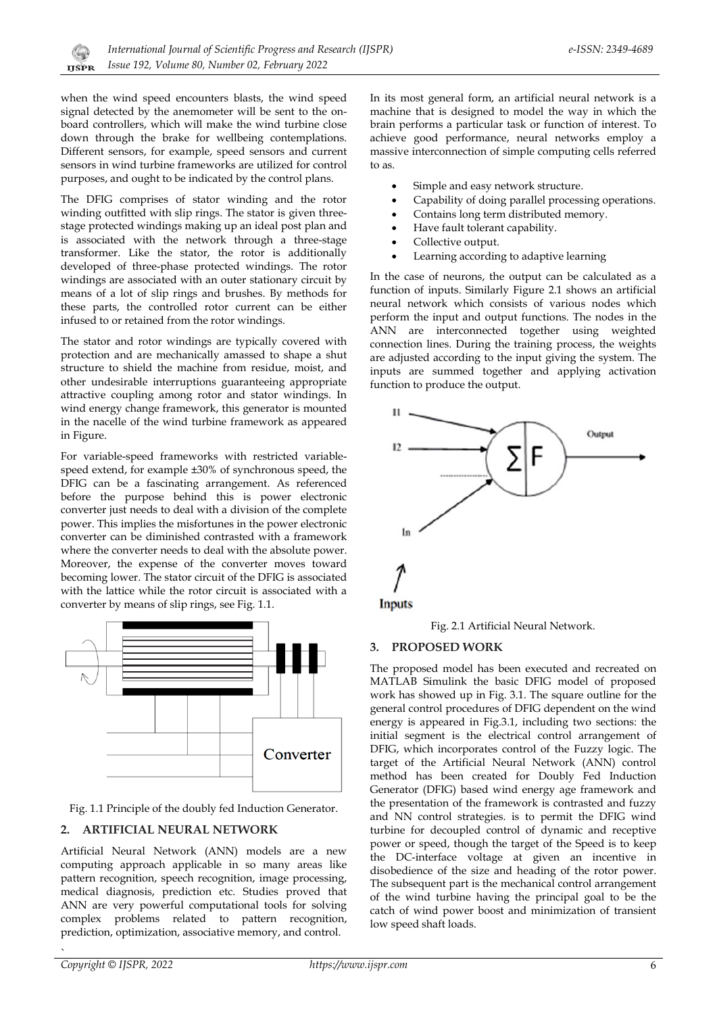when the wind speed encounters blasts, the wind speed signal detected by the anemometer will be sent to the onboard controllers, which will make the wind turbine close down through the brake for wellbeing contemplations. Different sensors, for example, speed sensors and current sensors in wind turbine frameworks are utilized for control purposes, and ought to be indicated by the control plans.

The DFIG comprises of stator winding and the rotor winding outfitted with slip rings. The stator is given threestage protected windings making up an ideal post plan and is associated with the network through a three-stage transformer. Like the stator, the rotor is additionally developed of three-phase protected windings. The rotor windings are associated with an outer stationary circuit by means of a lot of slip rings and brushes. By methods for these parts, the controlled rotor current can be either infused to or retained from the rotor windings.

The stator and rotor windings are typically covered with protection and are mechanically amassed to shape a shut structure to shield the machine from residue, moist, and other undesirable interruptions guaranteeing appropriate attractive coupling among rotor and stator windings. In wind energy change framework, this generator is mounted in the nacelle of the wind turbine framework as appeared in Figure.

For variable-speed frameworks with restricted variablespeed extend. for example ±30% of synchronous speed, the DFIG can be a fascinating arrangement. As referenced before the purpose behind this is power electronic converter just needs to deal with a division of the complete power. This implies the misfortunes in the power electronic converter can be diminished contrasted with a framework where the converter needs to deal with the absolute power. Moreover, the expense of the converter moves toward becoming lower. The stator circuit of the DFIG is associated with the lattice while the rotor circuit is associated with a converter by means of slip rings, see Fig. 1.1.



Fig. 1.1 Principle of the doubly fed Induction Generator.

#### 2. ARTIFICIAL NEURAL NETWORK

Artificial Neural Network (ANN) models are a new computing approach applicable in so many areas like pattern recognition, speech recognition, image processing, medical diagnosis, prediction etc. Studies proved that ANN are very powerful computational tools for solving complex problems related to pattern recognition, prediction, optimization, associative memory, and control.

In its most general form, an artificial neural network is a machine that is designed to model the way in which the brain performs a particular task or function of interest. To achieve good performance, neural networks employ a massive interconnection of simple computing cells referred to as.

- Simple and easy network structure.
- Capability of doing parallel processing operations.
- Contains long term distributed memory.
- Have fault tolerant capability.  $\bullet$
- Collective output.
- Learning according to adaptive learning

In the case of neurons, the output can be calculated as a function of inputs. Similarly Figure 2.1 shows an artificial neural network which consists of various nodes which perform the input and output functions. The nodes in the ANN are interconnected together using weighted connection lines. During the training process, the weights are adjusted according to the input giving the system. The inputs are summed together and applying activation function to produce the output.



#### 3. PROPOSED WORK

The proposed model has been executed and recreated on MATLAB Simulink the basic DFIG model of proposed work has showed up in Fig. 3.1. The square outline for the general control procedures of DFIG dependent on the wind energy is appeared in Fig.3.1, including two sections: the initial segment is the electrical control arrangement of DFIG, which incorporates control of the Fuzzy logic. The target of the Artificial Neural Network (ANN) control method has been created for Doubly Fed Induction Generator (DFIG) based wind energy age framework and the presentation of the framework is contrasted and fuzzy and NN control strategies. is to permit the DFIG wind turbine for decoupled control of dynamic and receptive power or speed, though the target of the Speed is to keep the DC-interface voltage at given an incentive in disobedience of the size and heading of the rotor power. The subsequent part is the mechanical control arrangement of the wind turbine having the principal goal to be the catch of wind power boost and minimization of transient low speed shaft loads.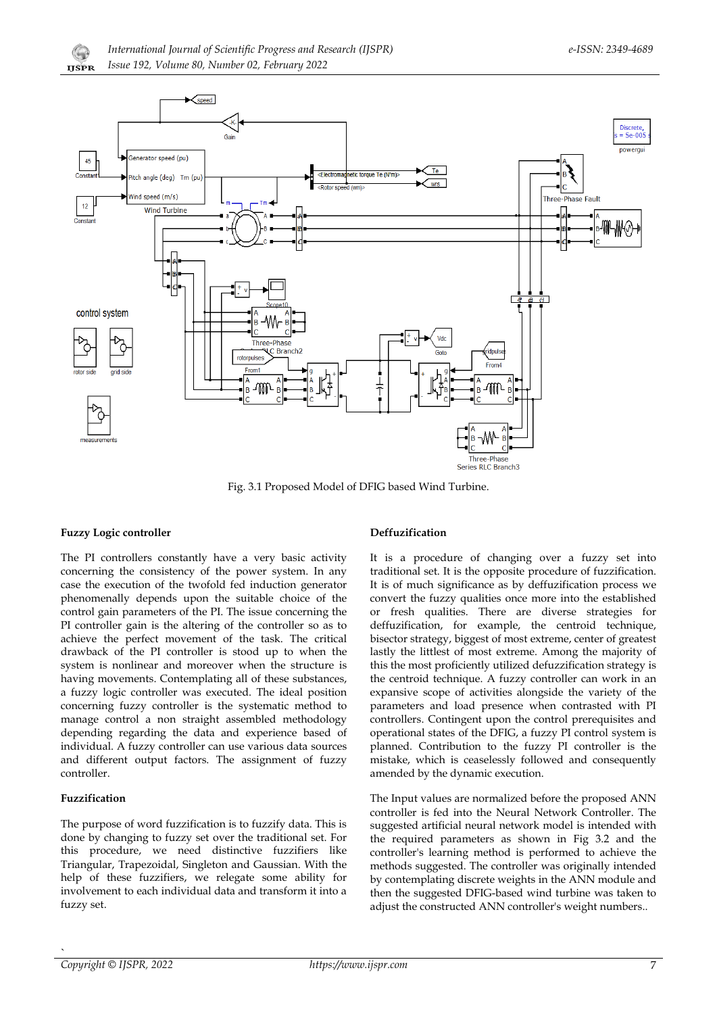



Fig. 3.1 Proposed Model of DFIG based Wind Turbine.

#### **Fuzzy Logic controller**

The PI controllers constantly have a very basic activity concerning the consistency of the power system. In any case the execution of the twofold fed induction generator phenomenally depends upon the suitable choice of the control gain parameters of the PI. The issue concerning the PI controller gain is the altering of the controller so as to achieve the perfect movement of the task. The critical drawback of the PI controller is stood up to when the system is nonlinear and moreover when the structure is having movements. Contemplating all of these substances, a fuzzy logic controller was executed. The ideal position concerning fuzzy controller is the systematic method to manage control a non straight assembled methodology depending regarding the data and experience based of individual. A fuzzy controller can use various data sources and different output factors. The assignment of fuzzy controller.

#### Fuzzification

The purpose of word fuzzification is to fuzzify data. This is done by changing to fuzzy set over the traditional set. For this procedure, we need distinctive fuzzifiers like Triangular, Trapezoidal, Singleton and Gaussian. With the help of these fuzzifiers, we relegate some ability for involvement to each individual data and transform it into a fuzzy set.

#### Deffuzification

It is a procedure of changing over a fuzzy set into traditional set. It is the opposite procedure of fuzzification. It is of much significance as by deffuzification process we convert the fuzzy qualities once more into the established or fresh qualities. There are diverse strategies for deffuzification, for example, the centroid technique, bisector strategy, biggest of most extreme, center of greatest lastly the littlest of most extreme. Among the majority of this the most proficiently utilized defuzzification strategy is the centroid technique. A fuzzy controller can work in an expansive scope of activities alongside the variety of the parameters and load presence when contrasted with PI controllers. Contingent upon the control prerequisites and operational states of the DFIG, a fuzzy PI control system is planned. Contribution to the fuzzy PI controller is the mistake, which is ceaselessly followed and consequently amended by the dynamic execution.

The Input values are normalized before the proposed ANN controller is fed into the Neural Network Controller. The suggested artificial neural network model is intended with the required parameters as shown in Fig 3.2 and the controller's learning method is performed to achieve the methods suggested. The controller was originally intended by contemplating discrete weights in the ANN module and then the suggested DFIG-based wind turbine was taken to adjust the constructed ANN controller's weight numbers..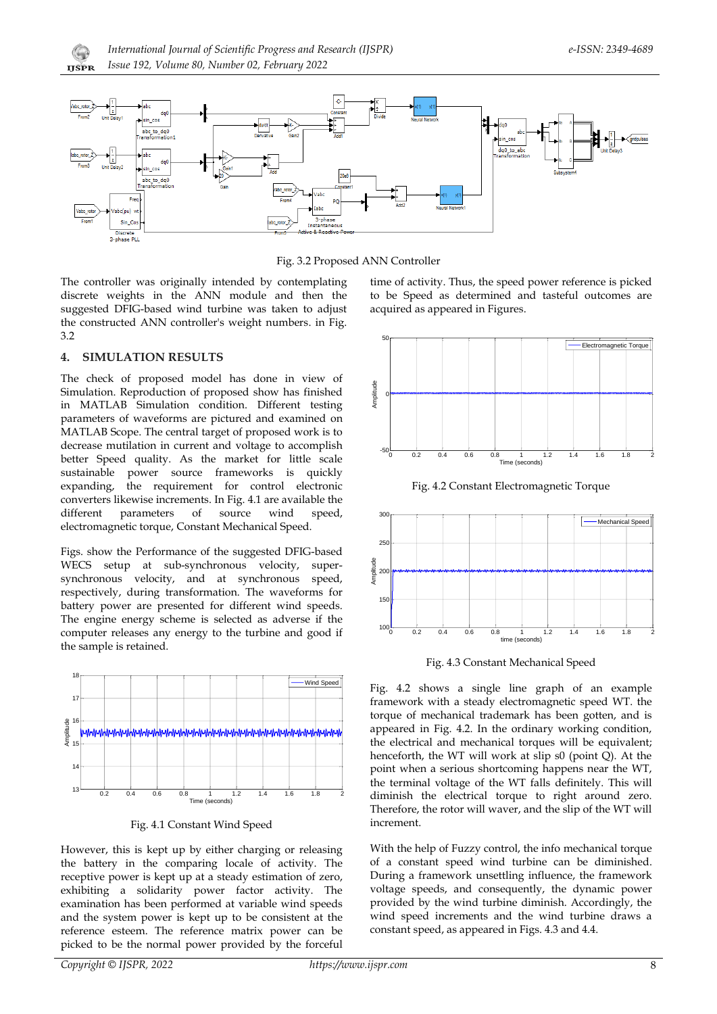



Fig. 3.2 Proposed ANN Controller

The controller was originally intended by contemplating discrete weights in the ANN module and then the suggested DFIG-based wind turbine was taken to adjust the constructed ANN controller's weight numbers. in Fig.  $3.2$ 

#### $\mathbf 1$ **SIMULATION RESULTS**

The check of proposed model has done in view of Simulation. Reproduction of proposed show has finished in MATLAB Simulation condition. Different testing parameters of waveforms are pictured and examined on MATLAB Scope. The central target of proposed work is to decrease mutilation in current and voltage to accomplish better Speed quality. As the market for little scale sustainable power source frameworks is quickly expanding, the requirement for control electronic converters likewise increments. In Fig. 4.1 are available the different parameters of source wind speed. electromagnetic torque, Constant Mechanical Speed.

Figs. show the Performance of the suggested DFIG-based WECS setup at sub-synchronous velocity, supersynchronous velocity, and at synchronous speed, respectively, during transformation. The waveforms for battery power are presented for different wind speeds. The engine energy scheme is selected as adverse if the computer releases any energy to the turbine and good if the sample is retained.



Fig. 4.1 Constant Wind Speed

However, this is kept up by either charging or releasing the battery in the comparing locale of activity. The receptive power is kept up at a steady estimation of zero, exhibiting a solidarity power factor activity. The examination has been performed at variable wind speeds and the system power is kept up to be consistent at the reference esteem. The reference matrix power can be picked to be the normal power provided by the forceful

time of activity. Thus, the speed power reference is picked to be Speed as determined and tasteful outcomes are acquired as appeared in Figures.



Fig. 4.2 Constant Electromagnetic Torque



Fig. 4.3 Constant Mechanical Speed

Fig. 4.2 shows a single line graph of an example framework with a steady electromagnetic speed WT. the torque of mechanical trademark has been gotten, and is appeared in Fig. 4.2. In the ordinary working condition, the electrical and mechanical torques will be equivalent; henceforth, the WT will work at slip s0 (point Q). At the point when a serious shortcoming happens near the WT, the terminal voltage of the WT falls definitely. This will diminish the electrical torque to right around zero. Therefore, the rotor will waver, and the slip of the WT will increment.

With the help of Fuzzy control, the info mechanical torque of a constant speed wind turbine can be diminished. During a framework unsettling influence, the framework voltage speeds, and consequently, the dynamic power provided by the wind turbine diminish. Accordingly, the wind speed increments and the wind turbine draws a constant speed, as appeared in Figs. 4.3 and 4.4.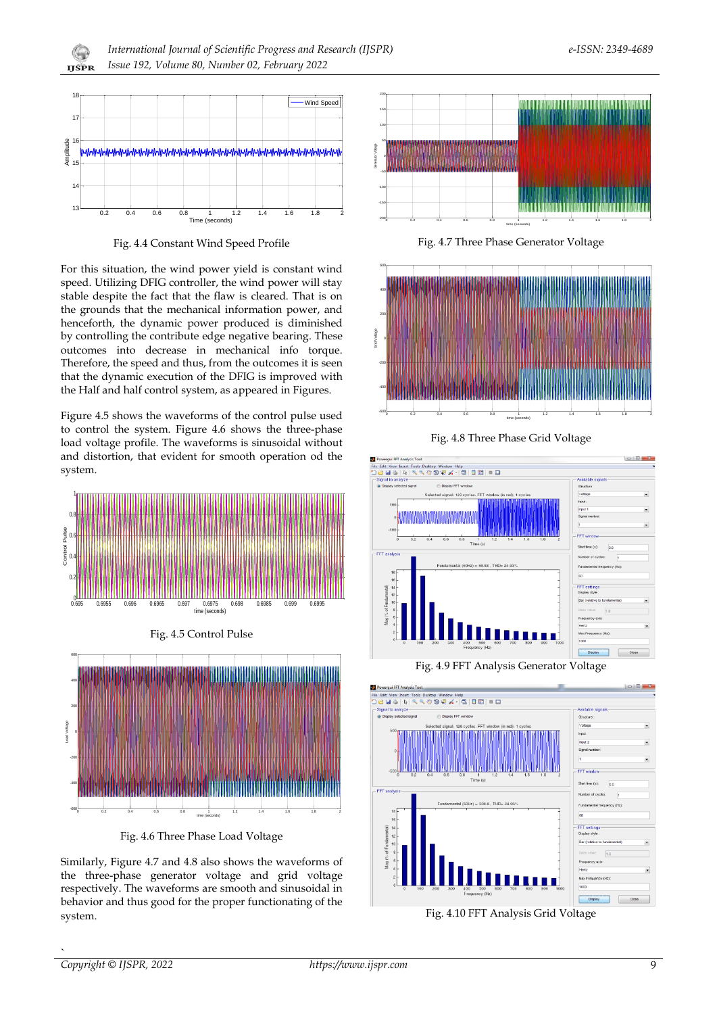

Fig. 4.4 Constant Wind Speed Profile

For this situation, the wind power yield is constant wind speed. Utilizing DFIG controller, the wind power will stay stable despite the fact that the flaw is cleared. That is on the grounds that the mechanical information power, and henceforth, the dynamic power produced is diminished by controlling the contribute edge negative bearing. These outcomes into decrease in mechanical info torque. Therefore, the speed and thus, from the outcomes it is seen that the dynamic execution of the DFIG is improved with the Half and half control system, as appeared in Figures.

Figure 4.5 shows the waveforms of the control pulse used to control the system. Figure 4.6 shows the three-phase load voltage profile. The waveforms is sinusoidal without and distortion, that evident for smooth operation od the system.



Fig. 4.5 Control Pulse



Fig. 4.6 Three Phase Load Voltage

Similarly, Figure 4.7 and 4.8 also shows the waveforms of the three-phase generator voltage and grid voltage respectively. The waveforms are smooth and sinusoidal in behavior and thus good for the proper functionating of the system.



Fig. 4.7 Three Phase Generator Voltage



Fig. 4.8 Three Phase Grid Voltage





Fig. 4.10 FFT Analysis Grid Voltage